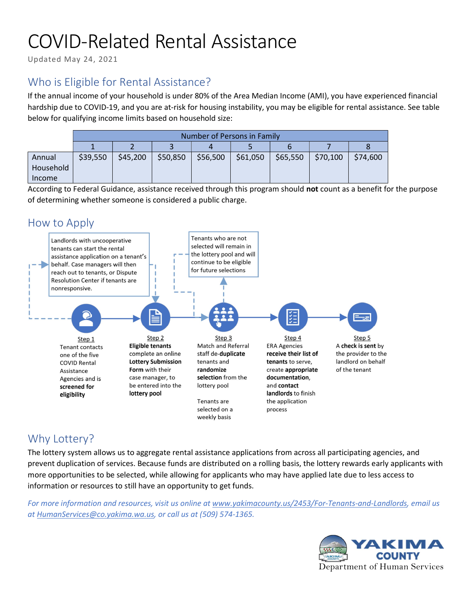# COVID-Related Rental Assistance

Updated May 24, 2021

## Who is Eligible for Rental Assistance?

If the annual income of your household is under 80% of the Area Median Income (AMI), you have experienced financial hardship due to COVID-19, and you are at-risk for housing instability, you may be eligible for rental assistance. See table below for qualifying income limits based on household size:

|                               | Number of Persons in Family |          |          |          |          |          |          |          |
|-------------------------------|-----------------------------|----------|----------|----------|----------|----------|----------|----------|
|                               |                             |          |          |          |          |          |          |          |
| Annual<br>Household<br>Income | \$39,550                    | \$45,200 | \$50,850 | \$56,500 | \$61,050 | \$65,550 | \$70,100 | \$74,600 |

According to Federal Guidance, assistance received through this program should not count as a benefit for the purpose of determining whether someone is considered a public charge.



## Why Lottery?

The lottery system allows us to aggregate rental assistance applications from across all participating agencies, and prevent duplication of services. Because funds are distributed on a rolling basis, the lottery rewards early applicants with more opportunities to be selected, while allowing for applicants who may have applied late due to less access to information or resources to still have an opportunity to get funds.

For more information and resources, visit us online at www.yakimacounty.us/2453/For-Tenants-and-Landlords, email us at HumanServices@co.yakima.wa.us, or call us at (509) 574-1365.